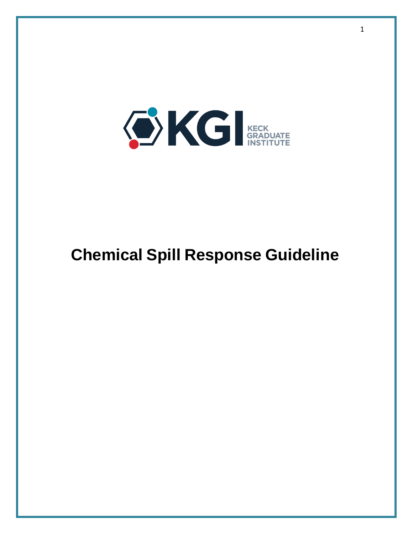

# **Chemical Spill Response Guideline**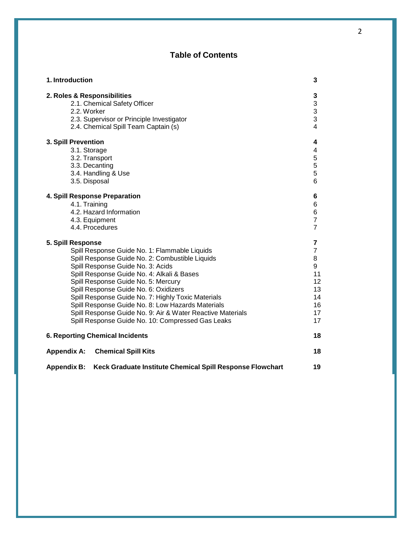### **Table of Contents**

| 1. Introduction                                                                 | 3                       |
|---------------------------------------------------------------------------------|-------------------------|
| 2. Roles & Responsibilities                                                     | 3                       |
| 2.1. Chemical Safety Officer                                                    | 3                       |
| 2.2. Worker                                                                     | 3                       |
| 2.3. Supervisor or Principle Investigator                                       | 3                       |
| 2.4. Chemical Spill Team Captain (s)                                            | $\overline{\mathbf{4}}$ |
| 3. Spill Prevention                                                             | 4                       |
| 3.1. Storage                                                                    | 4                       |
| 3.2. Transport                                                                  | 5                       |
| 3.3. Decanting                                                                  | 5                       |
| 3.4. Handling & Use                                                             | 5                       |
| 3.5. Disposal                                                                   | 6                       |
| 4. Spill Response Preparation                                                   | 6                       |
| 4.1. Training                                                                   | 6                       |
| 4.2. Hazard Information                                                         | 6                       |
| 4.3. Equipment                                                                  | $\overline{7}$          |
| 4.4. Procedures                                                                 | $\overline{7}$          |
| 5. Spill Response                                                               | 7                       |
| Spill Response Guide No. 1: Flammable Liquids                                   | $\overline{7}$          |
| Spill Response Guide No. 2: Combustible Liquids                                 | 8                       |
| Spill Response Guide No. 3: Acids                                               | 9                       |
| Spill Response Guide No. 4: Alkali & Bases                                      | 11                      |
| Spill Response Guide No. 5: Mercury                                             | 12                      |
| Spill Response Guide No. 6: Oxidizers                                           | 13                      |
| Spill Response Guide No. 7: Highly Toxic Materials                              | 14                      |
| Spill Response Guide No. 8: Low Hazards Materials                               | 16                      |
| Spill Response Guide No. 9: Air & Water Reactive Materials                      | 17                      |
| Spill Response Guide No. 10: Compressed Gas Leaks                               | 17                      |
| <b>6. Reporting Chemical Incidents</b>                                          | 18                      |
| <b>Chemical Spill Kits</b><br><b>Appendix A:</b>                                | 18                      |
| Keck Graduate Institute Chemical Spill Response Flowchart<br><b>Appendix B:</b> | 19                      |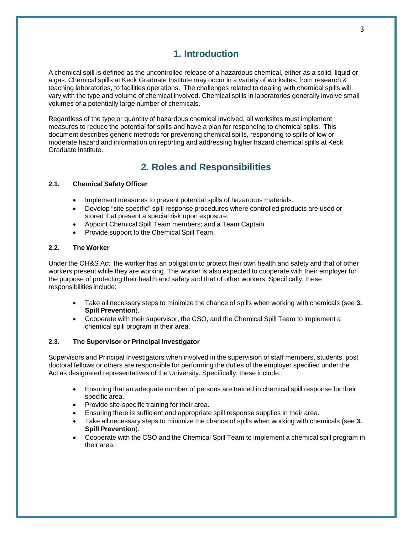### **1. Introduction**

A chemical spill is defined as the uncontrolled release of a hazardous chemical, either as a solid, liquid or a gas. Chemical spills at Keck Graduate Institute may occur in a variety of worksites, from research & teaching laboratories, to facilities operations. The challenges related to dealing with chemical spills will vary with the type and volume of chemical involved. Chemical spills in laboratories generally involve small volumes of a potentially large number of chemicals.

Regardless of the type or quantity of hazardous chemical involved, all worksites must implement measures to reduce the potential for spills and have a plan for responding to chemical spills. This document describes generic methods for preventing chemical spills, responding to spills of low or moderate hazard and information on reporting and addressing higher hazard chemical spills at Keck Graduate Institute.

## **2. Roles and Responsibilities**

#### **2.1. Chemical Safety Officer**

- Implement measures to prevent potential spills of hazardous materials.
- Develop "site specific" spill response procedures where controlled products are used or stored that present a special risk upon exposure.
- Appoint Chemical Spill Team members; and a Team Captain
- Provide support to the Chemical Spill Team.

#### **2.2. The Worker**

Under the OH&S Act, the worker has an obligation to protect their own health and safety and that of other workers present while they are working. The worker is also expected to cooperate with their employer for the purpose of protecting their health and safety and that of other workers. Specifically, these responsibilities include:

- Take all necessary steps to minimize the chance of spills when working with chemicals (see **3. Spill Prevention**).
- Cooperate with their supervisor, the CSO, and the Chemical Spill Team to implement a chemical spill program in their area.

#### **2.3. The Supervisor or Principal Investigator**

Supervisors and Principal Investigators when involved in the supervision of staff members, students, post doctoral fellows or others are responsible for performing the duties of the employer specified under the Act as designated representatives of the University. Specifically, these include:

- Ensuring that an adequate number of persons are trained in chemical spill response for their specific area.
- Provide site-specific training for their area.
- Ensuring there is sufficient and appropriate spill response supplies in their area.
- Take all necessary steps to minimize the chance of spills when working with chemicals (see **3. Spill Prevention**).
- Cooperate with the CSO and the Chemical Spill Team to implement a chemical spill program in their area.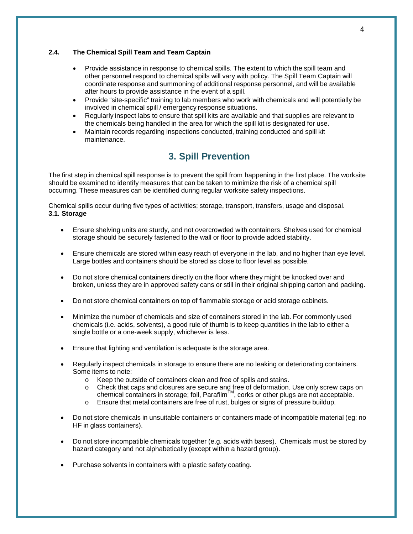#### **2.4. The Chemical Spill Team and Team Captain**

- Provide assistance in response to chemical spills. The extent to which the spill team and other personnel respond to chemical spills will vary with policy. The Spill Team Captain will coordinate response and summoning of additional response personnel, and will be available after hours to provide assistance in the event of a spill.
- Provide "site-specific" training to lab members who work with chemicals and will potentially be involved in chemical spill / emergency response situations.
- Regularly inspect labs to ensure that spill kits are available and that supplies are relevant to the chemicals being handled in the area for which the spill kit is designated for use.
- Maintain records regarding inspections conducted, training conducted and spill kit maintenance.

## **3. Spill Prevention**

The first step in chemical spill response is to prevent the spill from happening in the first place. The worksite should be examined to identify measures that can be taken to minimize the risk of a chemical spill occurring. These measures can be identified during regular worksite safety inspections.

Chemical spills occur during five types of activities; storage, transport, transfers, usage and disposal. **3.1. Storage**

- Ensure shelving units are sturdy, and not overcrowded with containers. Shelves used for chemical storage should be securely fastened to the wall or floor to provide added stability.
- Ensure chemicals are stored within easy reach of everyone in the lab, and no higher than eye level. Large bottles and containers should be stored as close to floor level as possible.
- Do not store chemical containers directly on the floor where they might be knocked over and broken, unless they are in approved safety cans or still in their original shipping carton and packing.
- Do not store chemical containers on top of flammable storage or acid storage cabinets.
- Minimize the number of chemicals and size of containers stored in the lab. For commonly used chemicals (i.e. acids, solvents), a good rule of thumb is to keep quantities in the lab to either a single bottle or a one-week supply, whichever is less.
- Ensure that lighting and ventilation is adequate is the storage area.
- Regularly inspect chemicals in storage to ensure there are no leaking or deteriorating containers. Some items to note:
	- o Keep the outside of containers clean and free of spills and stains.
	- o Check that caps and closures are secure and free of deformation. Use only screw caps on chemical containers in storage; foil, Parafilm $^{\textsf{TM}}$ , corks or other plugs are not acceptable.
	- o Ensure that metal containers are free of rust, bulges or signs of pressure buildup.
- Do not store chemicals in unsuitable containers or containers made of incompatible material (eg: no HF in glass containers).
- Do not store incompatible chemicals together (e.g. acids with bases). Chemicals must be stored by hazard category and not alphabetically (except within a hazard group).
- Purchase solvents in containers with a plastic safety coating.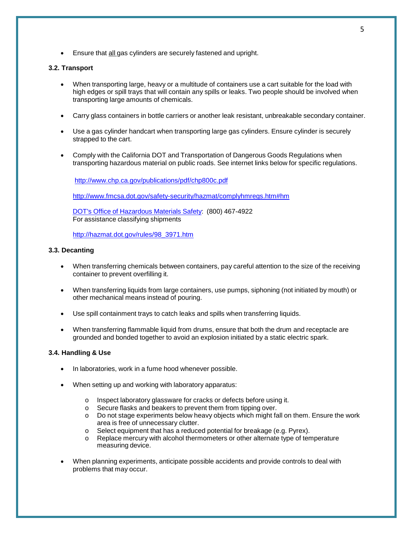• Ensure that all gas cylinders are securely fastened and upright.

#### **3.2. Transport**

- When transporting large, heavy or a multitude of containers use a cart suitable for the load with high edges or spill trays that will contain any spills or leaks. Two people should be involved when transporting large amounts of chemicals.
- Carry glass containers in bottle carriers or another leak resistant, unbreakable secondary container.
- Use a gas cylinder handcart when transporting large gas cylinders. Ensure cylinder is securely strapped to the cart.
- Comply with the California DOT and Transportation of Dangerous Goods Regulations when transporting hazardous material on public roads. See internet links below for specific regulations.

<http://www.chp.ca.gov/publications/pdf/chp800c.pdf>

<http://www.fmcsa.dot.gov/safety-security/hazmat/complyhmregs.htm#hm>

DOT's Office of Hazardous Materials Safety: (800) 467-4922 For assistance classifying shipments

[http://hazmat.dot.gov/rules/98\\_3971.htm](http://hazmat.dot.gov/rules/98_3971.htm)

#### **3.3. Decanting**

- When transferring chemicals between containers, pay careful attention to the size of the receiving container to prevent overfilling it.
- When transferring liquids from large containers, use pumps, siphoning (not initiated by mouth) or other mechanical means instead of pouring.
- Use spill containment trays to catch leaks and spills when transferring liquids.
- When transferring flammable liquid from drums, ensure that both the drum and receptacle are grounded and bonded together to avoid an explosion initiated by a static electric spark.

#### **3.4. Handling & Use**

- In laboratories, work in a fume hood whenever possible.
- When setting up and working with laboratory apparatus:
	- o Inspect laboratory glassware for cracks or defects before using it.<br>
	o Secure flasks and beakers to prevent them from tipping over.
	- Secure flasks and beakers to prevent them from tipping over.
	- o Do not stage experiments below heavy objects which might fall on them. Ensure the work area is free of unnecessary clutter.
	- o Select equipment that has a reduced potential for breakage (e.g. Pyrex).<br>○ Replace mercury with alcohol thermometers or other alternate type of ten
	- Replace mercury with alcohol thermometers or other alternate type of temperature measuring device.
- When planning experiments, anticipate possible accidents and provide controls to deal with problems that may occur.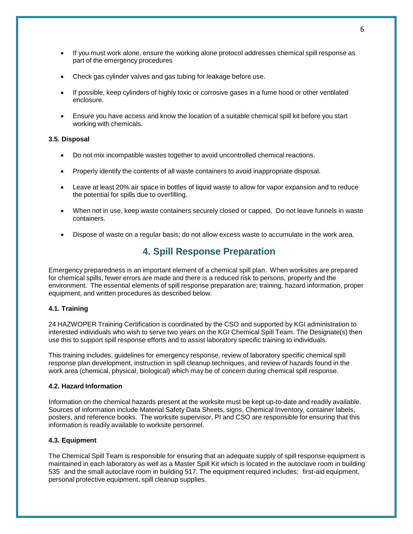- If you must work alone, ensure the working alone protocol addresses chemical spill response as part of the emergency procedures
- Check gas cylinder valves and gas tubing for leakage before use.
- If possible, keep cylinders of highly toxic or corrosive gases in a fume hood or other ventilated enclosure.
- Ensure you have access and know the location of a suitable chemical spill kit before you start working with chemicals.

#### **3.5. Disposal**

- Do not mix incompatible wastes together to avoid uncontrolled chemical reactions.
- Properly identify the contents of all waste containers to avoid inappropriate disposal.
- Leave at least 20% air space in bottles of liquid waste to allow for vapor expansion and to reduce the potential for spills due to overfilling.
- When not in use, keep waste containers securely closed or capped. Do not leave funnels in waste containers.
- Dispose of waste on a regular basis; do not allow excess waste to accumulate in the work area.

### **4. Spill Response Preparation**

Emergency preparedness is an important element of a chemical spill plan. When worksites are prepared for chemical spills, fewer errors are made and there is a reduced risk to persons, property and the environment. The essential elements of spill response preparation are; training, hazard information, proper equipment, and written procedures as described below.

#### **4.1. Training**

24 HAZWOPER Training Certification is coordinated by the CSO and supported by KGI administration to interested individuals who wish to serve two years on the KGI Chemical Spill Team. The Designate(s) then use this to support spill response efforts and to assist laboratory specific training to individuals.

This training includes, guidelines for emergency response, review of laboratory specific chemical spill response plan development, instruction in spill cleanup techniques, and review of hazards found in the work area (chemical, physical, biological) which may be of concern during chemical spill response.

#### **4.2. Hazard Information**

Information on the chemical hazards present at the worksite must be kept up-to-date and readily available. Sources of information include Material Safety Data Sheets, signs, Chemical Inventory, container labels, posters, and reference books. The worksite supervisor, PI and CSO are responsible for ensuring that this information is readily available to worksite personnel.

#### **4.3. Equipment**

The Chemical Spill Team is responsible for ensuring that an adequate supply of spill response equipment is maintained in each laboratory as well as a Master Spill Kit which is located in the autoclave room in building 535 and the small autoclave room in building 517. The equipment required includes; first-aid equipment, personal protective equipment, spill cleanup supplies.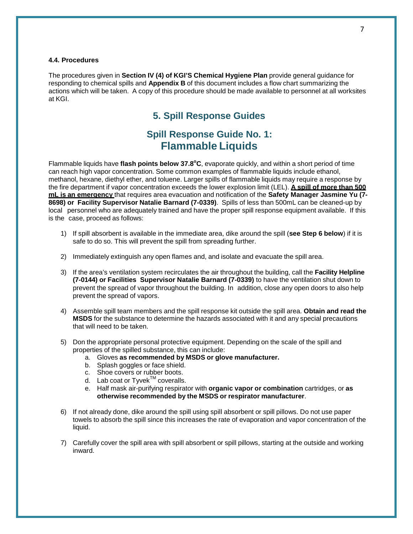#### **4.4. Procedures**

The procedures given in **Section IV (4) of KGI'S Chemical Hygiene Plan** provide general guidance for responding to chemical spills and **Appendix B** of this document includes a flow chart summarizing the actions which will be taken. A copy of this procedure should be made available to personnel at all worksites at KGI.

### **5. Spill Response Guides**

### **Spill Response Guide No. 1: Flammable Liquids**

Flammable liquids have *flash points below* 37.8°C, evaporate quickly, and within a short period of time can reach high vapor concentration. Some common examples of flammable liquids include ethanol, methanol, hexane, diethyl ether, and toluene. Larger spills of flammable liquids may require a response by the fire department if vapor concentration exceeds the lower explosion limit (LEL). **A spill of more than 500 mL is an emergency** that requires area evacuation and notification of the **Safety Manager Jasmine Yu (7- 8698) or Facility Supervisor Natalie Barnard (7-0339)**. Spills of less than 500mL can be cleaned-up by local personnel who are adequately trained and have the proper spill response equipment available. If this is the case, proceed as follows:

- 1) If spill absorbent is available in the immediate area, dike around the spill (**see Step 6 below**) if it is safe to do so. This will prevent the spill from spreading further.
- 2) Immediately extinguish any open flames and, and isolate and evacuate the spill area.
- 3) If the area's ventilation system recirculates the air throughout the building, call the **Facility Helpline (7-0144) or Facilities Supervisor Natalie Barnard (7-0339)** to have the ventilation shut down to prevent the spread of vapor throughout the building. In addition, close any open doors to also help prevent the spread of vapors.
- 4) Assemble spill team members and the spill response kit outside the spill area. **Obtain and read the MSDS** for the substance to determine the hazards associated with it and any special precautions that will need to be taken.
- 5) Don the appropriate personal protective equipment. Depending on the scale of the spill and properties of the spilled substance, this can include:
	- a. Gloves **as recommended by MSDS or glove manufacturer.**
	- b. Splash goggles or face shield.
	- c. Shoe covers or rubber boots.
	- d. Lab coat or  $Tyvek^{TM}$  coveralls.
	- e. Half mask air-purifying respirator with **organic vapor or combination** cartridges, or **as otherwise recommended by the MSDS or respirator manufacturer**.
- 6) If not already done, dike around the spill using spill absorbent or spill pillows. Do not use paper towels to absorb the spill since this increases the rate of evaporation and vapor concentration of the liquid.
- 7) Carefully cover the spill area with spill absorbent or spill pillows, starting at the outside and working inward.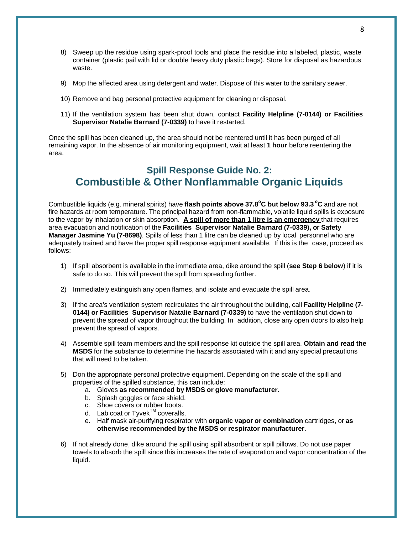- 8) Sweep up the residue using spark-proof tools and place the residue into a labeled, plastic, waste container (plastic pail with lid or double heavy duty plastic bags). Store for disposal as hazardous waste.
- 9) Mop the affected area using detergent and water. Dispose of this water to the sanitary sewer.
- 10) Remove and bag personal protective equipment for cleaning or disposal.
- 11) If the ventilation system has been shut down, contact **Facility Helpline (7-0144) or Facilities Supervisor Natalie Barnard (7-0339)** to have it restarted.

Once the spill has been cleaned up, the area should not be reentered until it has been purged of all remaining vapor. In the absence of air monitoring equipment, wait at least **1 hour** before reentering the area.

# **Spill Response Guide No. 2: Combustible & Other Nonflammable Organic Liquids**

Combustible liquids (e.g. mineral spirits) have **flash points above 37.8o C but below 93.3 <sup>o</sup> C** and are not fire hazards at room temperature. The principal hazard from non-flammable, volatile liquid spills is exposure to the vapor by inhalation or skin absorption. **A spill of more than 1 litre is an emergency** that requires area evacuation and notification of the **Facilities Supervisor Natalie Barnard (7-0339), or Safety Manager Jasmine Yu (7-8698)**. Spills of less than 1 litre can be cleaned up by local personnel who are adequately trained and have the proper spill response equipment available. If this is the case, proceed as follows:

- 1) If spill absorbent is available in the immediate area, dike around the spill (**see Step 6 below**) if it is safe to do so. This will prevent the spill from spreading further.
- 2) Immediately extinguish any open flames, and isolate and evacuate the spill area.
- 3) If the area's ventilation system recirculates the air throughout the building, call **Facility Helpline (7- 0144) or Facilities Supervisor Natalie Barnard (7-0339)** to have the ventilation shut down to prevent the spread of vapor throughout the building. In addition, close any open doors to also help prevent the spread of vapors.
- 4) Assemble spill team members and the spill response kit outside the spill area. **Obtain and read the MSDS** for the substance to determine the hazards associated with it and any special precautions that will need to be taken.
- 5) Don the appropriate personal protective equipment. Depending on the scale of the spill and properties of the spilled substance, this can include:
	- a. Gloves **as recommended by MSDS or glove manufacturer.**
	- b. Splash goggles or face shield.
	- c. Shoe covers or rubber boots.
	- d. Lab coat or Tyvek™ coveralls.
	- e. Half mask air-purifying respirator with **organic vapor or combination** cartridges, or **as otherwise recommended by the MSDS or respirator manufacturer**.
- 6) If not already done, dike around the spill using spill absorbent or spill pillows. Do not use paper towels to absorb the spill since this increases the rate of evaporation and vapor concentration of the liquid.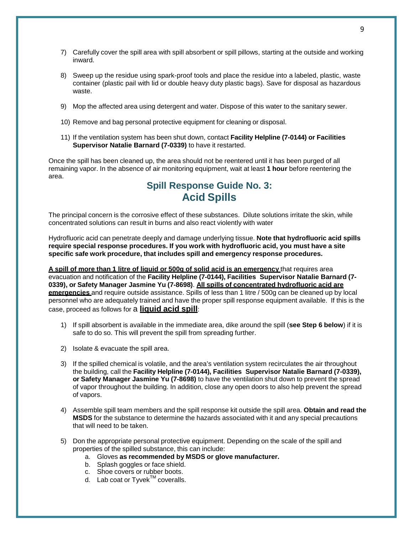- 7) Carefully cover the spill area with spill absorbent or spill pillows, starting at the outside and working inward.
- 8) Sweep up the residue using spark-proof tools and place the residue into a labeled, plastic, waste container (plastic pail with lid or double heavy duty plastic bags). Save for disposal as hazardous waste.
- 9) Mop the affected area using detergent and water. Dispose of this water to the sanitary sewer.
- 10) Remove and bag personal protective equipment for cleaning or disposal.
- 11) If the ventilation system has been shut down, contact **Facility Helpline (7-0144) or Facilities Supervisor Natalie Barnard (7-0339)** to have it restarted.

Once the spill has been cleaned up, the area should not be reentered until it has been purged of all remaining vapor. In the absence of air monitoring equipment, wait at least **1 hour** before reentering the area.

### **Spill Response Guide No. 3: Acid Spills**

The principal concern is the corrosive effect of these substances. Dilute solutions irritate the skin, while concentrated solutions can result in burns and also react violently with water

Hydrofluoric acid can penetrate deeply and damage underlying tissue. **Note that hydrofluoric acid spills require special response procedures. If you work with hydrofluoric acid, you must have a site specific safe work procedure, that includes spill and emergency response procedures.**

**A spill of more than 1 litre of liquid or 500g of solid acid is an emergency** that requires area evacuation and notification of the **Facility Helpline (7-0144), Facilities Supervisor Natalie Barnard (7- 0339), or Safety Manager Jasmine Yu (7-8698)**. **All spills of concentrated hydrofluoric acid are emergencies** and require outside assistance. Spills of less than 1 litre / 500g can be cleaned up by local personnel who are adequately trained and have the proper spill response equipment available. If this is the case, proceed as follows for a **liquid acid spill**:

- 1) If spill absorbent is available in the immediate area, dike around the spill (**see Step 6 below**) if it is safe to do so. This will prevent the spill from spreading further.
- 2) Isolate & evacuate the spill area.
- 3) If the spilled chemical is volatile, and the area's ventilation system recirculates the air throughout the building, call the **Facility Helpline (7-0144), Facilities Supervisor Natalie Barnard (7-0339), or Safety Manager Jasmine Yu (7-8698)** to have the ventilation shut down to prevent the spread of vapor throughout the building. In addition, close any open doors to also help prevent the spread of vapors.
- 4) Assemble spill team members and the spill response kit outside the spill area. **Obtain and read the MSDS** for the substance to determine the hazards associated with it and any special precautions that will need to be taken.
- 5) Don the appropriate personal protective equipment. Depending on the scale of the spill and properties of the spilled substance, this can include:
	- a. Gloves **as recommended by MSDS or glove manufacturer.**
	- b. Splash goggles or face shield.
	- c. Shoe covers or rubber boots.
	- d. Lab coat or  $T$ yvek $^{TM}$  coveralls.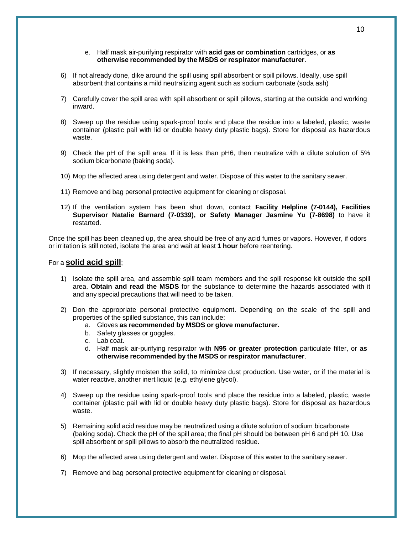#### e. Half mask air-purifying respirator with **acid gas or combination** cartridges, or **as otherwise recommended by the MSDS or respirator manufacturer**.

- 6) If not already done, dike around the spill using spill absorbent or spill pillows. Ideally, use spill absorbent that contains a mild neutralizing agent such as sodium carbonate (soda ash)
- 7) Carefully cover the spill area with spill absorbent or spill pillows, starting at the outside and working inward.
- 8) Sweep up the residue using spark-proof tools and place the residue into a labeled, plastic, waste container (plastic pail with lid or double heavy duty plastic bags). Store for disposal as hazardous waste.
- 9) Check the pH of the spill area. If it is less than pH6, then neutralize with a dilute solution of 5% sodium bicarbonate (baking soda).
- 10) Mop the affected area using detergent and water. Dispose of this water to the sanitary sewer.
- 11) Remove and bag personal protective equipment for cleaning or disposal.
- 12) If the ventilation system has been shut down, contact **Facility Helpline (7-0144), Facilities Supervisor Natalie Barnard (7-0339), or Safety Manager Jasmine Yu (7-8698)** to have it restarted.

Once the spill has been cleaned up, the area should be free of any acid fumes or vapors. However, if odors or irritation is still noted, isolate the area and wait at least **1 hour** before reentering.

#### For a **solid acid spill**;

- 1) Isolate the spill area, and assemble spill team members and the spill response kit outside the spill area. **Obtain and read the MSDS** for the substance to determine the hazards associated with it and any special precautions that will need to be taken.
- 2) Don the appropriate personal protective equipment. Depending on the scale of the spill and properties of the spilled substance, this can include:
	- a. Gloves **as recommended by MSDS or glove manufacturer.**
	- b. Safety glasses or goggles.
	- c. Lab coat.
	- d. Half mask air-purifying respirator with **N95 or greater protection** particulate filter, or **as otherwise recommended by the MSDS or respirator manufacturer**.
- 3) If necessary, slightly moisten the solid, to minimize dust production. Use water, or if the material is water reactive, another inert liquid (e.g. ethylene glycol).
- 4) Sweep up the residue using spark-proof tools and place the residue into a labeled, plastic, waste container (plastic pail with lid or double heavy duty plastic bags). Store for disposal as hazardous waste.
- 5) Remaining solid acid residue may be neutralized using a dilute solution of sodium bicarbonate (baking soda). Check the pH of the spill area; the final pH should be between pH 6 and pH 10. Use spill absorbent or spill pillows to absorb the neutralized residue.
- 6) Mop the affected area using detergent and water. Dispose of this water to the sanitary sewer.
- 7) Remove and bag personal protective equipment for cleaning or disposal.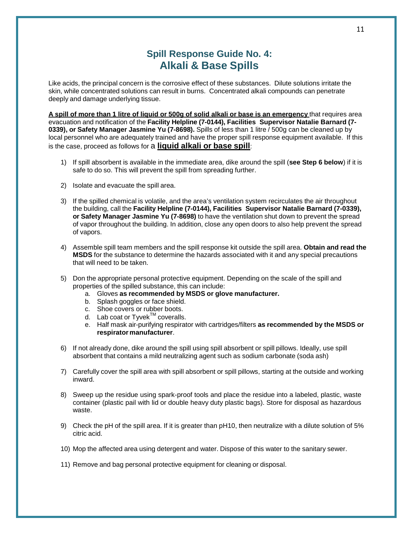# **Spill Response Guide No. 4: Alkali & Base Spills**

Like acids, the principal concern is the corrosive effect of these substances. Dilute solutions irritate the skin, while concentrated solutions can result in burns. Concentrated alkali compounds can penetrate deeply and damage underlying tissue.

A spill of more than 1 litre of liquid or 500g of solid alkali or base is an emergency that requires area evacuation and notification of the **Facility Helpline (7-0144), Facilities Supervisor Natalie Barnard (7- 0339), or Safety Manager Jasmine Yu (7-8698).** Spills of less than 1 litre / 500g can be cleaned up by local personnel who are adequately trained and have the proper spill response equipment available. If this is the case, proceed as follows for a **liquid alkali or base spill**:

- 1) If spill absorbent is available in the immediate area, dike around the spill (**see Step 6 below**) if it is safe to do so. This will prevent the spill from spreading further.
- 2) Isolate and evacuate the spill area.
- 3) If the spilled chemical is volatile, and the area's ventilation system recirculates the air throughout the building, call the **Facility Helpline (7-0144), Facilities Supervisor Natalie Barnard (7-0339), or Safety Manager Jasmine Yu (7-8698)** to have the ventilation shut down to prevent the spread of vapor throughout the building. In addition, close any open doors to also help prevent the spread of vapors.
- 4) Assemble spill team members and the spill response kit outside the spill area. **Obtain and read the MSDS** for the substance to determine the hazards associated with it and any special precautions that will need to be taken.
- 5) Don the appropriate personal protective equipment. Depending on the scale of the spill and properties of the spilled substance, this can include:
	- a. Gloves **as recommended by MSDS or glove manufacturer.**
	- b. Splash goggles or face shield.
	- c. Shoe covers or rubber boots.
	- d. Lab coat or Tyvek™ coveralls.
	- e. Half mask air-purifying respirator with cartridges/filters **as recommended by the MSDS or respirator manufacturer**.
- 6) If not already done, dike around the spill using spill absorbent or spill pillows. Ideally, use spill absorbent that contains a mild neutralizing agent such as sodium carbonate (soda ash)
- 7) Carefully cover the spill area with spill absorbent or spill pillows, starting at the outside and working inward.
- 8) Sweep up the residue using spark-proof tools and place the residue into a labeled, plastic, waste container (plastic pail with lid or double heavy duty plastic bags). Store for disposal as hazardous waste.
- 9) Check the pH of the spill area. If it is greater than pH10, then neutralize with a dilute solution of 5% citric acid.
- 10) Mop the affected area using detergent and water. Dispose of this water to the sanitary sewer.

11) Remove and bag personal protective equipment for cleaning or disposal.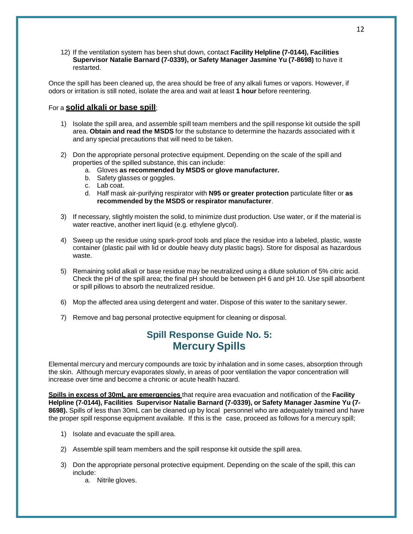12) If the ventilation system has been shut down, contact **Facility Helpline (7-0144), Facilities Supervisor Natalie Barnard (7-0339), or Safety Manager Jasmine Yu (7-8698)** to have it restarted.

Once the spill has been cleaned up, the area should be free of any alkali fumes or vapors. However, if odors or irritation is still noted, isolate the area and wait at least **1 hour** before reentering.

#### For a **solid alkali or base spill**;

- 1) Isolate the spill area, and assemble spill team members and the spill response kit outside the spill area. **Obtain and read the MSDS** for the substance to determine the hazards associated with it and any special precautions that will need to be taken.
- 2) Don the appropriate personal protective equipment. Depending on the scale of the spill and properties of the spilled substance, this can include:
	- a. Gloves **as recommended by MSDS or glove manufacturer.**
	- b. Safety glasses or goggles.
	- c. Lab coat.
	- d. Half mask air-purifying respirator with **N95 or greater protection** particulate filter or **as recommended by the MSDS or respirator manufacturer**.
- 3) If necessary, slightly moisten the solid, to minimize dust production. Use water, or if the material is water reactive, another inert liquid (e.g. ethylene glycol).
- 4) Sweep up the residue using spark-proof tools and place the residue into a labeled, plastic, waste container (plastic pail with lid or double heavy duty plastic bags). Store for disposal as hazardous waste.
- 5) Remaining solid alkali or base residue may be neutralized using a dilute solution of 5% citric acid. Check the pH of the spill area; the final pH should be between pH 6 and pH 10. Use spill absorbent or spill pillows to absorb the neutralized residue.
- 6) Mop the affected area using detergent and water. Dispose of this water to the sanitary sewer.
- 7) Remove and bag personal protective equipment for cleaning or disposal.

## **Spill Response Guide No. 5: Mercury Spills**

Elemental mercury and mercury compounds are toxic by inhalation and in some cases, absorption through the skin. Although mercury evaporates slowly, in areas of poor ventilation the vapor concentration will increase over time and become a chronic or acute health hazard.

**Spills in excess of 30mL are emergencies** that require area evacuation and notification of the **Facility Helpline (7-0144), Facilities Supervisor Natalie Barnard (7-0339), or Safety Manager Jasmine Yu (7- 8698).** Spills of less than 30mL can be cleaned up by local personnel who are adequately trained and have the proper spill response equipment available. If this is the case, proceed as follows for a mercury spill;

- 1) Isolate and evacuate the spill area.
- 2) Assemble spill team members and the spill response kit outside the spill area.
- 3) Don the appropriate personal protective equipment. Depending on the scale of the spill, this can include:
	- a. Nitrile gloves.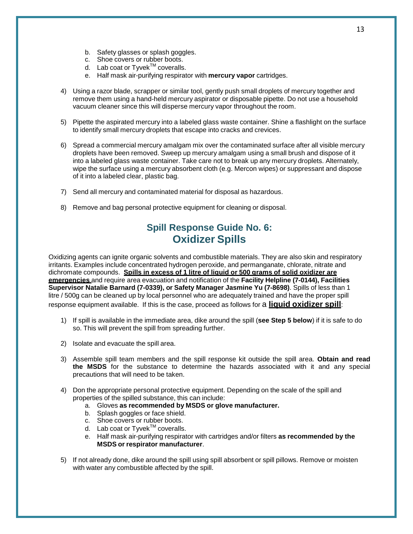- b. Safety glasses or splash goggles.
- c. Shoe covers or rubber boots.
- d. Lab coat or  $Tyvek^{TM}$  coveralls.
- e. Half mask air-purifying respirator with **mercury vapor** cartridges.
- 4) Using a razor blade, scrapper or similar tool, gently push small droplets of mercury together and remove them using a hand-held mercury aspirator or disposable pipette. Do not use a household vacuum cleaner since this will disperse mercury vapor throughout the room.
- 5) Pipette the aspirated mercury into a labeled glass waste container. Shine a flashlight on the surface to identify small mercury droplets that escape into cracks and crevices.
- 6) Spread a commercial mercury amalgam mix over the contaminated surface after all visible mercury droplets have been removed. Sweep up mercury amalgam using a small brush and dispose of it into a labeled glass waste container. Take care not to break up any mercury droplets. Alternately, wipe the surface using a mercury absorbent cloth (e.g. Mercon wipes) or suppressant and dispose of it into a labeled clear, plastic bag.
- 7) Send all mercury and contaminated material for disposal as hazardous.
- 8) Remove and bag personal protective equipment for cleaning or disposal.

# **Spill Response Guide No. 6: Oxidizer Spills**

Oxidizing agents can ignite organic solvents and combustible materials. They are also skin and respiratory irritants. Examples include concentrated hydrogen peroxide, and permanganate, chlorate, nitrate and dichromate compounds. **Spills in excess of 1 litre of liquid or 500 grams of solid oxidizer are emergencies** and require area evacuation and notification of the **Facility Helpline (7-0144), Facilities Supervisor Natalie Barnard (7-0339), or Safety Manager Jasmine Yu (7-8698)**. Spills of less than 1 litre / 500g can be cleaned up by local personnel who are adequately trained and have the proper spill response equipment available. If this is the case, proceed as follows for a **liquid oxidizer spill**:

- 1) If spill is available in the immediate area, dike around the spill (**see Step 5 below**) if it is safe to do so. This will prevent the spill from spreading further.
- 2) Isolate and evacuate the spill area.
- 3) Assemble spill team members and the spill response kit outside the spill area. **Obtain and read the MSDS** for the substance to determine the hazards associated with it and any special precautions that will need to be taken.
- 4) Don the appropriate personal protective equipment. Depending on the scale of the spill and properties of the spilled substance, this can include:
	- a. Gloves **as recommended by MSDS or glove manufacturer.**
	- b. Splash goggles or face shield.
	- c. Shoe covers or rubber boots.
	- d. Lab coat or  $T$ yvek $T^M$  coveralls.
	- e. Half mask air-purifying respirator with cartridges and/or filters **as recommended by the MSDS or respirator manufacturer**.
- 5) If not already done, dike around the spill using spill absorbent or spill pillows. Remove or moisten with water any combustible affected by the spill.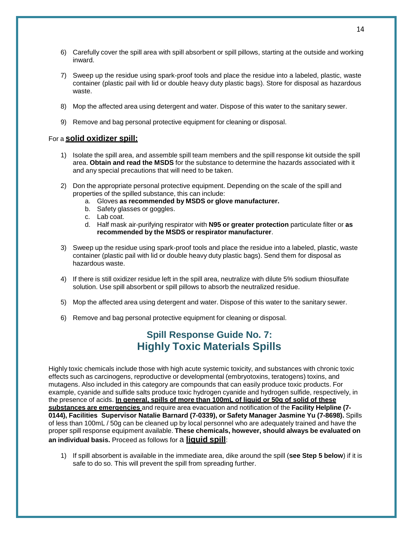- 6) Carefully cover the spill area with spill absorbent or spill pillows, starting at the outside and working inward.
- 7) Sweep up the residue using spark-proof tools and place the residue into a labeled, plastic, waste container (plastic pail with lid or double heavy duty plastic bags). Store for disposal as hazardous waste.
- 8) Mop the affected area using detergent and water. Dispose of this water to the sanitary sewer.
- 9) Remove and bag personal protective equipment for cleaning or disposal.

#### For a **solid oxidizer spill:**

- 1) Isolate the spill area, and assemble spill team members and the spill response kit outside the spill area. **Obtain and read the MSDS** for the substance to determine the hazards associated with it and any special precautions that will need to be taken.
- 2) Don the appropriate personal protective equipment. Depending on the scale of the spill and properties of the spilled substance, this can include:
	- a. Gloves **as recommended by MSDS or glove manufacturer.**
	- b. Safety glasses or goggles.
	- c. Lab coat.
	- d. Half mask air-purifying respirator with **N95 or greater protection** particulate filter or **as recommended by the MSDS or respirator manufacturer**.
- 3) Sweep up the residue using spark-proof tools and place the residue into a labeled, plastic, waste container (plastic pail with lid or double heavy duty plastic bags). Send them for disposal as hazardous waste.
- 4) If there is still oxidizer residue left in the spill area, neutralize with dilute 5% sodium thiosulfate solution. Use spill absorbent or spill pillows to absorb the neutralized residue.
- 5) Mop the affected area using detergent and water. Dispose of this water to the sanitary sewer.
- 6) Remove and bag personal protective equipment for cleaning or disposal.

# **Spill Response Guide No. 7: Highly Toxic Materials Spills**

Highly toxic chemicals include those with high acute systemic toxicity, and substances with chronic toxic effects such as carcinogens, reproductive or developmental (embryotoxins, teratogens) toxins, and mutagens. Also included in this category are compounds that can easily produce toxic products. For example, cyanide and sulfide salts produce toxic hydrogen cyanide and hydrogen sulfide, respectively, in the presence of acids. **In general, spills of more than 100mL of liquid or 50g of solid of these substances are emergencies** and require area evacuation and notification of the **Facility Helpline (7- 0144), Facilities Supervisor Natalie Barnard (7-0339), or Safety Manager Jasmine Yu (7-8698).** Spills of less than 100mL / 50g can be cleaned up by local personnel who are adequately trained and have the proper spill response equipment available. **These chemicals, however, should always be evaluated on an individual basis.** Proceed as follows for a **liquid spill**:

1) If spill absorbent is available in the immediate area, dike around the spill (**see Step 5 below**) if it is safe to do so. This will prevent the spill from spreading further.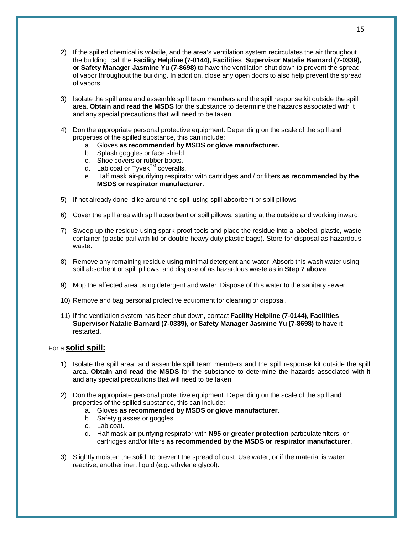- 2) If the spilled chemical is volatile, and the area's ventilation system recirculates the air throughout the building, call the **Facility Helpline (7-0144), Facilities Supervisor Natalie Barnard (7-0339), or Safety Manager Jasmine Yu (7-8698)** to have the ventilation shut down to prevent the spread of vapor throughout the building. In addition, close any open doors to also help prevent the spread of vapors.
- 3) Isolate the spill area and assemble spill team members and the spill response kit outside the spill area. **Obtain and read the MSDS** for the substance to determine the hazards associated with it and any special precautions that will need to be taken.
- 4) Don the appropriate personal protective equipment. Depending on the scale of the spill and properties of the spilled substance, this can include:
	- a. Gloves **as recommended by MSDS or glove manufacturer.**
	- b. Splash goggles or face shield.
	- c. Shoe covers or rubber boots.
	- d. Lab coat or Tyvek<sup>TM</sup> coveralls.
	- e. Half mask air-purifying respirator with cartridges and / or filters **as recommended by the MSDS or respirator manufacturer**.
- 5) If not already done, dike around the spill using spill absorbent or spill pillows
- 6) Cover the spill area with spill absorbent or spill pillows, starting at the outside and working inward.
- 7) Sweep up the residue using spark-proof tools and place the residue into a labeled, plastic, waste container (plastic pail with lid or double heavy duty plastic bags). Store for disposal as hazardous waste.
- 8) Remove any remaining residue using minimal detergent and water. Absorb this wash water using spill absorbent or spill pillows, and dispose of as hazardous waste as in **Step 7 above**.
- 9) Mop the affected area using detergent and water. Dispose of this water to the sanitary sewer.
- 10) Remove and bag personal protective equipment for cleaning or disposal.
- 11) If the ventilation system has been shut down, contact **Facility Helpline (7-0144), Facilities Supervisor Natalie Barnard (7-0339), or Safety Manager Jasmine Yu (7-8698)** to have it restarted.

#### For a **solid spill:**

- 1) Isolate the spill area, and assemble spill team members and the spill response kit outside the spill area. **Obtain and read the MSDS** for the substance to determine the hazards associated with it and any special precautions that will need to be taken.
- 2) Don the appropriate personal protective equipment. Depending on the scale of the spill and properties of the spilled substance, this can include:
	- a. Gloves **as recommended by MSDS or glove manufacturer.**
	- b. Safety glasses or goggles.
	- c. Lab coat.
	- d. Half mask air-purifying respirator with **N95 or greater protection** particulate filters, or cartridges and/or filters **as recommended by the MSDS or respirator manufacturer**.
- 3) Slightly moisten the solid, to prevent the spread of dust. Use water, or if the material is water reactive, another inert liquid (e.g. ethylene glycol).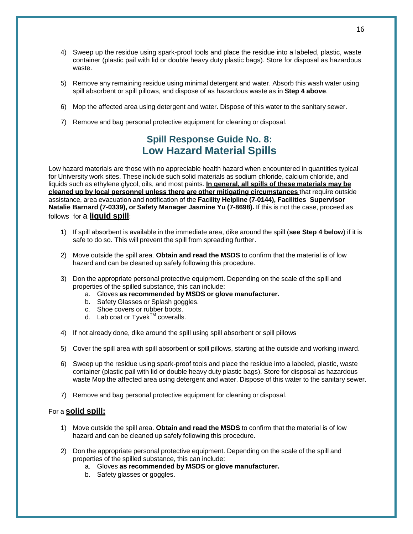- 4) Sweep up the residue using spark-proof tools and place the residue into a labeled, plastic, waste container (plastic pail with lid or double heavy duty plastic bags). Store for disposal as hazardous waste.
- 5) Remove any remaining residue using minimal detergent and water. Absorb this wash water using spill absorbent or spill pillows, and dispose of as hazardous waste as in **Step 4 above**.
- 6) Mop the affected area using detergent and water. Dispose of this water to the sanitary sewer.
- 7) Remove and bag personal protective equipment for cleaning or disposal.

# **Spill Response Guide No. 8: Low Hazard Material Spills**

Low hazard materials are those with no appreciable health hazard when encountered in quantities typical for University work sites. These include such solid materials as sodium chloride, calcium chloride, and liquids such as ethylene glycol, oils, and most paints. **In general, all spills of these materials may be cleaned up by local personnel unless there are other mitigating circumstances** that require outside assistance, area evacuation and notification of the **Facility Helpline (7-0144), Facilities Supervisor Natalie Barnard (7-0339), or Safety Manager Jasmine Yu (7-8698).** If this is not the case, proceed as follows for a **liquid spill**:

- 1) If spill absorbent is available in the immediate area, dike around the spill (**see Step 4 below**) if it is safe to do so. This will prevent the spill from spreading further.
- 2) Move outside the spill area. **Obtain and read the MSDS** to confirm that the material is of low hazard and can be cleaned up safely following this procedure.
- 3) Don the appropriate personal protective equipment. Depending on the scale of the spill and properties of the spilled substance, this can include:
	- a. Gloves **as recommended by MSDS or glove manufacturer.**
	- b. Safety Glasses or Splash goggles.
	- c. Shoe covers or rubber boots.
	- d. Lab coat or Tyvek<sup>TM</sup> coveralls.
- 4) If not already done, dike around the spill using spill absorbent or spill pillows
- 5) Cover the spill area with spill absorbent or spill pillows, starting at the outside and working inward.
- 6) Sweep up the residue using spark-proof tools and place the residue into a labeled, plastic, waste container (plastic pail with lid or double heavy duty plastic bags). Store for disposal as hazardous waste Mop the affected area using detergent and water. Dispose of this water to the sanitary sewer.
- 7) Remove and bag personal protective equipment for cleaning or disposal.

#### For a **solid spill:**

- 1) Move outside the spill area. **Obtain and read the MSDS** to confirm that the material is of low hazard and can be cleaned up safely following this procedure.
- 2) Don the appropriate personal protective equipment. Depending on the scale of the spill and properties of the spilled substance, this can include:
	- a. Gloves **as recommended by MSDS or glove manufacturer.**
	- b. Safety glasses or goggles.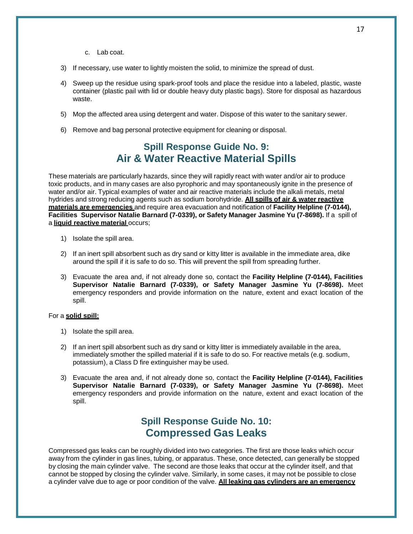- c. Lab coat.
- 3) If necessary, use water to lightly moisten the solid, to minimize the spread of dust.
- 4) Sweep up the residue using spark-proof tools and place the residue into a labeled, plastic, waste container (plastic pail with lid or double heavy duty plastic bags). Store for disposal as hazardous waste.
- 5) Mop the affected area using detergent and water. Dispose of this water to the sanitary sewer.
- 6) Remove and bag personal protective equipment for cleaning or disposal.

## **Spill Response Guide No. 9: Air & Water Reactive Material Spills**

These materials are particularly hazards, since they will rapidly react with water and/or air to produce toxic products, and in many cases are also pyrophoric and may spontaneously ignite in the presence of water and/or air. Typical examples of water and air reactive materials include the alkali metals, metal hydrides and strong reducing agents such as sodium borohydride. **All spills of air & water reactive materials are emergencies** and require area evacuation and notification of **Facility Helpline (7-0144), Facilities Supervisor Natalie Barnard (7-0339), or Safety Manager Jasmine Yu (7-8698).** If a spill of a **liquid reactive material** occurs;

- 1) Isolate the spill area.
- 2) If an inert spill absorbent such as dry sand or kitty litter is available in the immediate area, dike around the spill if it is safe to do so. This will prevent the spill from spreading further.
- 3) Evacuate the area and, if not already done so, contact the **Facility Helpline (7-0144), Facilities Supervisor Natalie Barnard (7-0339), or Safety Manager Jasmine Yu (7-8698).** Meet emergency responders and provide information on the nature, extent and exact location of the spill.

#### For a **solid spill:**

- 1) Isolate the spill area.
- 2) If an inert spill absorbent such as dry sand or kitty litter is immediately available in the area, immediately smother the spilled material if it is safe to do so. For reactive metals (e.g. sodium, potassium), a Class D fire extinguisher may be used.
- 3) Evacuate the area and, if not already done so, contact the **Facility Helpline (7-0144), Facilities Supervisor Natalie Barnard (7-0339), or Safety Manager Jasmine Yu (7-8698).** Meet emergency responders and provide information on the nature, extent and exact location of the spill.

## **Spill Response Guide No. 10: Compressed Gas Leaks**

Compressed gas leaks can be roughly divided into two categories. The first are those leaks which occur away from the cylinder in gas lines, tubing, or apparatus. These, once detected, can generally be stopped by closing the main cylinder valve. The second are those leaks that occur at the cylinder itself, and that cannot be stopped by closing the cylinder valve. Similarly, in some cases, it may not be possible to close a cylinder valve due to age or poor condition of the valve. **All leaking gas cylinders are an emergency**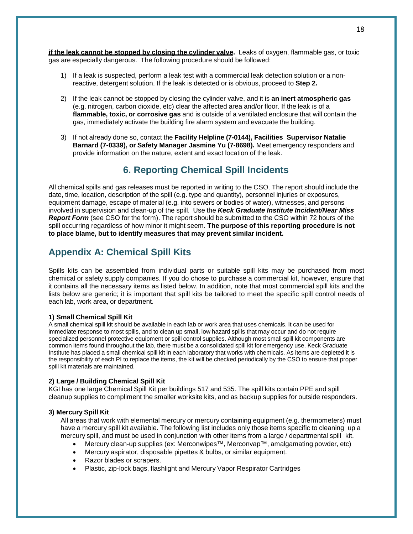**if the leak cannot be stopped by closing the cylinder valve.** Leaks of oxygen, flammable gas, or toxic gas are especially dangerous. The following procedure should be followed:

- 1) If a leak is suspected, perform a leak test with a commercial leak detection solution or a nonreactive, detergent solution. If the leak is detected or is obvious, proceed to **Step 2.**
- 2) If the leak cannot be stopped by closing the cylinder valve, and it is **an inert atmospheric gas** (e.g. nitrogen, carbon dioxide, etc) clear the affected area and/or floor. If the leak is of a **flammable, toxic, or corrosive gas** and is outside of a ventilated enclosure that will contain the gas, immediately activate the building fire alarm system and evacuate the building.
- 3) If not already done so, contact the **Facility Helpline (7-0144), Facilities Supervisor Natalie Barnard (7-0339), or Safety Manager Jasmine Yu (7-8698).** Meet emergency responders and provide information on the nature, extent and exact location of the leak.

### **6. Reporting Chemical Spill Incidents**

All chemical spills and gas releases must be reported in writing to the CSO. The report should include the date, time, location, description of the spill (e.g. type and quantity), personnel injuries or exposures, equipment damage, escape of material (e.g. into sewers or bodies of water), witnesses, and persons involved in supervision and clean-up of the spill. Use the *Keck Graduate Institute Incident/Near Miss Report Form* (see CSO for the form). The report should be submitted to the CSO within 72 hours of the spill occurring regardless of how minor it might seem. **The purpose of this reporting procedure is not to place blame, but to identify measures that may prevent similar incident.**

### **Appendix A: Chemical Spill Kits**

Spills kits can be assembled from individual parts or suitable spill kits may be purchased from most chemical or safety supply companies. If you do chose to purchase a commercial kit, however, ensure that it contains all the necessary items as listed below. In addition, note that most commercial spill kits and the lists below are generic; it is important that spill kits be tailored to meet the specific spill control needs of each lab, work area, or department.

#### **1) Small Chemical Spill Kit**

A small chemical spill kit should be available in each lab or work area that uses chemicals. It can be used for immediate response to most spills, and to clean up small, low hazard spills that may occur and do not require specialized personnel protective equipment or spill control supplies. Although most small spill kit components are common items found throughout the lab, there must be a consolidated spill kit for emergency use. Keck Graduate Institute has placed a small chemical spill kit in each laboratory that works with chemicals. As items are depleted it is the responsibility of each PI to replace the items, the kit will be checked periodically by the CSO to ensure that proper spill kit materials are maintained.

#### **2) Large / Building Chemical Spill Kit**

KGI has one large Chemical Spill Kit per buildings 517 and 535. The spill kits contain PPE and spill cleanup supplies to compliment the smaller worksite kits, and as backup supplies for outside responders.

#### **3) Mercury Spill Kit**

All areas that work with elemental mercury or mercury containing equipment (e.g. thermometers) must have a mercury spill kit available. The following list includes only those items specific to cleaning up a mercury spill, and must be used in conjunction with other items from a large / departmental spill kit.

- Mercury clean-up supplies (ex: Merconwipes™, Merconvap™, amalgamating powder, etc)
- Mercury aspirator, disposable pipettes & bulbs, or similar equipment.
- Razor blades or scrapers.
- Plastic, zip-lock bags, flashlight and Mercury Vapor Respirator Cartridges